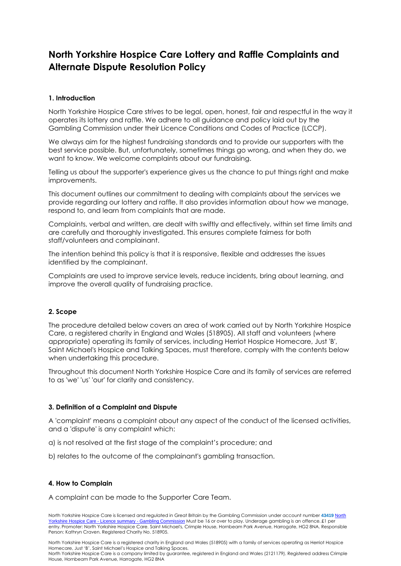# **North Yorkshire Hospice Care Lottery and Raffle Complaints and Alternate Dispute Resolution Policy**

# **1. Introduction**

North Yorkshire Hospice Care strives to be legal, open, honest, fair and respectful in the way it operates its lottery and raffle. We adhere to all guidance and policy laid out by the Gambling Commission under their Licence Conditions and Codes of Practice (LCCP).

We always aim for the highest fundraising standards and to provide our supporters with the best service possible. But, unfortunately, sometimes things go wrong, and when they do, we want to know. We welcome complaints about our fundraising.

Telling us about the supporter's experience gives us the chance to put things right and make improvements.

This document outlines our commitment to dealing with complaints about the services we provide regarding our lottery and raffle. It also provides information about how we manage, respond to, and learn from complaints that are made.

Complaints, verbal and written, are dealt with swiftly and effectively, within set time limits and are carefully and thoroughly investigated. This ensures complete fairness for both staff/volunteers and complainant.

The intention behind this policy is that it is responsive, flexible and addresses the issues identified by the complainant.

Complaints are used to improve service levels, reduce incidents, bring about learning, and improve the overall quality of fundraising practice.

# **2. Scope**

The procedure detailed below covers an area of work carried out by North Yorkshire Hospice Care, a registered charity in England and Wales (518905). All staff and volunteers (where appropriate) operating its family of services, including Herriot Hospice Homecare, Just 'B', Saint Michael's Hospice and Talking Spaces, must therefore, comply with the contents below when undertaking this procedure.

Throughout this document North Yorkshire Hospice Care and its family of services are referred to as 'we' 'us' 'our' for clarity and consistency.

# **3. Definition of a Complaint and Dispute**

A 'complaint' means a complaint about any aspect of the conduct of the licensed activities, and a 'dispute' is any complaint which:

a) is not resolved at the first stage of the complaint's procedure; and

b) relates to the outcome of the complainant's gambling transaction.

# **4. How to Complain**

A complaint can be made to the Supporter Care Team.

North Yorkshire Hospice Care is licensed and regulated in Great Britain by the Gambling Commission under account number **43419** North Yorkshire Hospice Care - Licence summary - Gambling Commission Must be 16 or over to play. Underage gambling is an offence. £1 per entry. Promoter: North Yorkshire Hospice Care**,** Saint Michael's, Crimple House, Hornbeam Park Avenue, Harrogate, HG2 8NA. Responsible Person: Kathryn Craven. Registered Charity No. 518905.

North Yorkshire Hospice Care is a registered charity in England and Wales (518905) with a family of services operating as Herriot Hospice Homecare, Just 'B', Saint Michael's Hospice and Talking Spaces.

North Yorkshire Hospice Care is a company limited by guarantee, registered in England and Wales (2121179). Registered address Crimple House, Hornbeam Park Avenue, Harrogate, HG2 8NA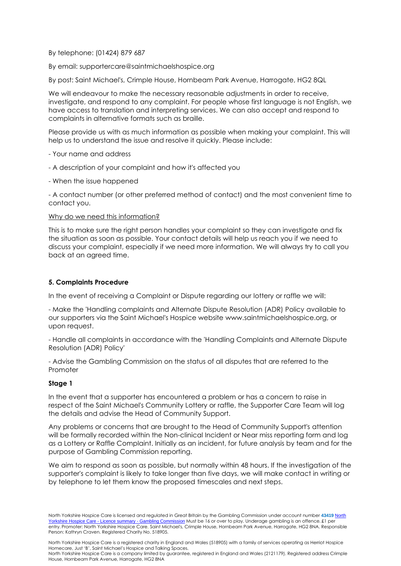By telephone: (01424) 879 687

By email: supportercare@saintmichaelshospice.org

By post: Saint Michael's, Crimple House, Hornbeam Park Avenue, Harrogate, HG2 8QL

We will endeavour to make the necessary reasonable adjustments in order to receive, investigate, and respond to any complaint. For people whose first language is not English, we have access to translation and interpreting services. We can also accept and respond to complaints in alternative formats such as braille.

Please provide us with as much information as possible when making your complaint. This will help us to understand the issue and resolve it quickly. Please include:

- Your name and address

- A description of your complaint and how it's affected you
- When the issue happened

- A contact number (or other preferred method of contact) and the most convenient time to contact you.

### Why do we need this information?

This is to make sure the right person handles your complaint so they can investigate and fix the situation as soon as possible. Your contact details will help us reach you if we need to discuss your complaint, especially if we need more information. We will always try to call you back at an agreed time.

## **5. Complaints Procedure**

In the event of receiving a Complaint or Dispute regarding our lottery or raffle we will:

- Make the 'Handling complaints and Alternate Dispute Resolution (ADR) Policy available to our supporters via the Saint Michael's Hospice website www.saintmichaelshospice.org, or upon request.

- Handle all complaints in accordance with the 'Handling Complaints and Alternate Dispute Resolution (ADR) Policy'

- Advise the Gambling Commission on the status of all disputes that are referred to the Promoter

### **Stage 1**

In the event that a supporter has encountered a problem or has a concern to raise in respect of the Saint Michael's Community Lottery or raffle, the Supporter Care Team will log the details and advise the Head of Community Support.

Any problems or concerns that are brought to the Head of Community Support's attention will be formally recorded within the Non-clinical Incident or Near miss reporting form and log as a Lottery or Raffle Complaint. Initially as an incident, for future analysis by team and for the purpose of Gambling Commission reporting.

We aim to respond as soon as possible, but normally within 48 hours. If the investigation of the supporter's complaint is likely to take longer than five days, we will make contact in writing or by telephone to let them know the proposed timescales and next steps.

North Yorkshire Hospice Care is licensed and regulated in Great Britain by the Gambling Commission under account number **43419** North Yorkshire Hospice Care - Licence summary - Gambling Commission Must be 16 or over to play. Undergae gambling is an offence. £1 per entry. Promoter: North Yorkshire Hospice Care**,** Saint Michael's, Crimple House, Hornbeam Park Avenue, Harrogate, HG2 8NA. Responsible Person: Kathryn Craven. Registered Charity No. 518905.

North Yorkshire Hospice Care is a registered charity in England and Wales (518905) with a family of services operating as Herriot Hospice Homecare, Just 'B', Saint Michael's Hospice and Talking Spaces.

North Yorkshire Hospice Care is a company limited by guarantee, registered in England and Wales (2121179). Registered address Crimple House, Hornbeam Park Avenue, Harrogate, HG2 8NA